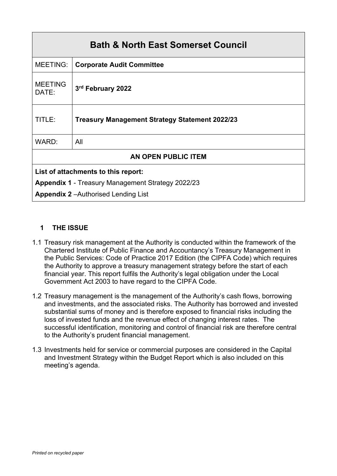| <b>Bath &amp; North East Somerset Council</b>            |                                                       |  |  |  |
|----------------------------------------------------------|-------------------------------------------------------|--|--|--|
| <b>MEETING:</b>                                          | <b>Corporate Audit Committee</b>                      |  |  |  |
| <b>MEETING</b><br>DATE:                                  | 3rd February 2022                                     |  |  |  |
| TITLE:                                                   | <b>Treasury Management Strategy Statement 2022/23</b> |  |  |  |
| WARD:                                                    | All                                                   |  |  |  |
| <b>AN OPEN PUBLIC ITEM</b>                               |                                                       |  |  |  |
| List of attachments to this report:                      |                                                       |  |  |  |
| <b>Appendix 1 - Treasury Management Strategy 2022/23</b> |                                                       |  |  |  |
| <b>Appendix 2-Authorised Lending List</b>                |                                                       |  |  |  |

# **1 THE ISSUE**

- 1.1 Treasury risk management at the Authority is conducted within the framework of the Chartered Institute of Public Finance and Accountancy's Treasury Management in the Public Services: Code of Practice 2017 Edition (the CIPFA Code) which requires the Authority to approve a treasury management strategy before the start of each financial year. This report fulfils the Authority's legal obligation under the Local Government Act 2003 to have regard to the CIPFA Code.
- 1.2 Treasury management is the management of the Authority's cash flows, borrowing and investments, and the associated risks. The Authority has borrowed and invested substantial sums of money and is therefore exposed to financial risks including the loss of invested funds and the revenue effect of changing interest rates. The successful identification, monitoring and control of financial risk are therefore central to the Authority's prudent financial management.
- 1.3 Investments held for service or commercial purposes are considered in the Capital and Investment Strategy within the Budget Report which is also included on this meeting's agenda.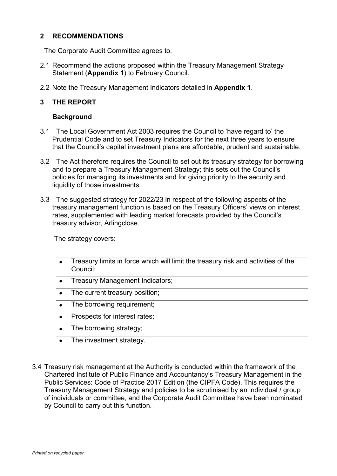#### **2 RECOMMENDATIONS**

The Corporate Audit Committee agrees to;

- 2.1 Recommend the actions proposed within the Treasury Management Strategy Statement (**Appendix 1**) to February Council.
- 2.2 Note the Treasury Management Indicators detailed in **Appendix 1**.

### **3 THE REPORT**

#### **Background**

- 3.1 The Local Government Act 2003 requires the Council to 'have regard to' the Prudential Code and to set Treasury Indicators for the next three years to ensure that the Council's capital investment plans are affordable, prudent and sustainable.
- 3.2 The Act therefore requires the Council to set out its treasury strategy for borrowing and to prepare a Treasury Management Strategy; this sets out the Council's policies for managing its investments and for giving priority to the security and liquidity of those investments.
- 3.3 The suggested strategy for 2022/23 in respect of the following aspects of the treasury management function is based on the Treasury Officers' views on interest rates, supplemented with leading market forecasts provided by the Council's treasury advisor, Arlingclose.

The strategy covers:

| Treasury limits in force which will limit the treasury risk and activities of the<br>Council; |
|-----------------------------------------------------------------------------------------------|
| Treasury Management Indicators;                                                               |
| The current treasury position;                                                                |
| The borrowing requirement;                                                                    |
| Prospects for interest rates;                                                                 |
| The borrowing strategy;                                                                       |
| The investment strategy.                                                                      |

3.4 Treasury risk management at the Authority is conducted within the framework of the Chartered Institute of Public Finance and Accountancy's Treasury Management in the Public Services: Code of Practice 2017 Edition (the CIPFA Code). This requires the Treasury Management Strategy and policies to be scrutinised by an individual / group of individuals or committee, and the Corporate Audit Committee have been nominated by Council to carry out this function.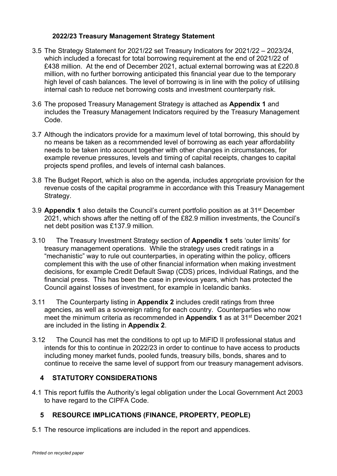### **2022/23 Treasury Management Strategy Statement**

- 3.5 The Strategy Statement for 2021/22 set Treasury Indicators for 2021/22 2023/24, which included a forecast for total borrowing requirement at the end of 2021/22 of £438 million. At the end of December 2021, actual external borrowing was at £220.8 million, with no further borrowing anticipated this financial year due to the temporary high level of cash balances. The level of borrowing is in line with the policy of utilising internal cash to reduce net borrowing costs and investment counterparty risk.
- 3.6 The proposed Treasury Management Strategy is attached as **Appendix 1** and includes the Treasury Management Indicators required by the Treasury Management Code.
- 3.7 Although the indicators provide for a maximum level of total borrowing, this should by no means be taken as a recommended level of borrowing as each year affordability needs to be taken into account together with other changes in circumstances, for example revenue pressures, levels and timing of capital receipts, changes to capital projects spend profiles, and levels of internal cash balances.
- 3.8 The Budget Report, which is also on the agenda, includes appropriate provision for the revenue costs of the capital programme in accordance with this Treasury Management Strategy.
- 3.9 **Appendix 1** also details the Council's current portfolio position as at 31st December 2021, which shows after the netting off of the £82.9 million investments, the Council's net debt position was £137.9 million.
- 3.10 The Treasury Investment Strategy section of **Appendix 1** sets 'outer limits' for treasury management operations. While the strategy uses credit ratings in a "mechanistic" way to rule out counterparties, in operating within the policy, officers complement this with the use of other financial information when making investment decisions, for example Credit Default Swap (CDS) prices, Individual Ratings, and the financial press. This has been the case in previous years, which has protected the Council against losses of investment, for example in Icelandic banks.
- 3.11 The Counterparty listing in **Appendix 2** includes credit ratings from three agencies, as well as a sovereign rating for each country. Counterparties who now meet the minimum criteria as recommended in **Appendix 1** as at 31st December 2021 are included in the listing in **Appendix 2**.
- 3.12 The Council has met the conditions to opt up to MiFID II professional status and intends for this to continue in 2022/23 in order to continue to have access to products including money market funds, pooled funds, treasury bills, bonds, shares and to continue to receive the same level of support from our treasury management advisors.

## **4 STATUTORY CONSIDERATIONS**

4.1 This report fulfils the Authority's legal obligation under the Local Government Act 2003 to have regard to the CIPFA Code.

## **5 RESOURCE IMPLICATIONS (FINANCE, PROPERTY, PEOPLE)**

5.1 The resource implications are included in the report and appendices.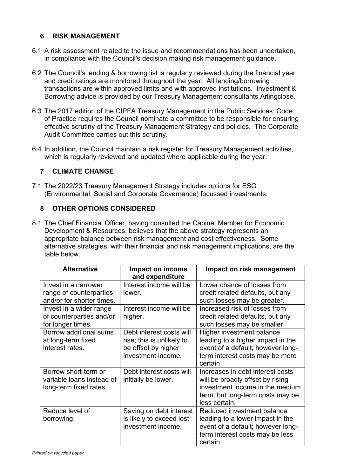## **6 RISK MANAGEMENT**

- 6.1 A risk assessment related to the issue and recommendations has been undertaken, in compliance with the Council's decision making risk management guidance.
- 6.2 The Council's lending & borrowing list is regularly reviewed during the financial year and credit ratings are monitored throughout the year. All lending/borrowing transactions are within approved limits and with approved institutions. Investment & Borrowing advice is provided by our Treasury Management consultants Arlingclose.
- 6.3 The 2017 edition of the CIPFA Treasury Management in the Public Services: Code of Practice requires the Council nominate a committee to be responsible for ensuring effective scrutiny of the Treasury Management Strategy and policies. The Corporate Audit Committee carries out this scrutiny.
- 6.4 In addition, the Council maintain a risk register for Treasury Management activities, which is regularly reviewed and updated where applicable during the year.

# **7 CLIMATE CHANGE**

7.1 The 2022/23 Treasury Management Strategy includes options for ESG (Environmental, Social and Corporate Governance) focussed investments.

# **8 OTHER OPTIONS CONSIDERED**

8.1 The Chief Financial Officer, having consulted the Cabinet Member for Economic Development & Resources, believes that the above strategy represents an appropriate balance between risk management and cost effectiveness. Some alternative strategies, with their financial and risk management implications, are the table below.

| <b>Alternative</b>                                                           | Impact on income<br>and expenditure                                                                | Impact on risk management                                                                                                                                    |
|------------------------------------------------------------------------------|----------------------------------------------------------------------------------------------------|--------------------------------------------------------------------------------------------------------------------------------------------------------------|
| Invest in a narrower<br>range of counterparties<br>and/or for shorter times. | Interest income will be<br>lower.                                                                  | Lower chance of losses from<br>credit related defaults, but any<br>such losses may be greater.                                                               |
| Invest in a wider range<br>of counterparties and/or<br>for longer times.     | Interest income will be<br>higher.                                                                 | Increased risk of losses from<br>credit related defaults, but any<br>such losses may be smaller.                                                             |
| Borrow additional sums<br>at long-term fixed<br>interest rates.              | Debt interest costs will<br>rise; this is unlikely to<br>be offset by higher<br>investment income. | Higher investment balance<br>leading to a higher impact in the<br>event of a default; however long-<br>term interest costs may be more<br>certain.           |
| Borrow short-term or<br>variable loans instead of<br>long-term fixed rates.  | Debt interest costs will<br>initially be lower.                                                    | Increases in debt interest costs<br>will be broadly offset by rising<br>investment income in the medium<br>term, but long-term costs may be<br>less certain. |
| Reduce level of<br>borrowing.                                                | Saving on debt interest<br>is likely to exceed lost<br>investment income.                          | Reduced investment balance<br>leading to a lower impact in the<br>event of a default; however long-<br>term interest costs may be less<br>certain.           |